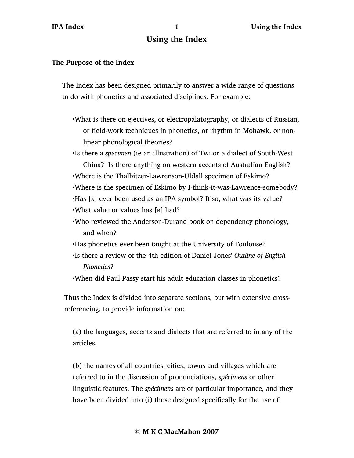## **Using the Index**

## **The Purpose of the Index**

The Index has been designed primarily to answer a wide range of questions to do with phonetics and associated disciplines. For example:

•What is there on ejectives, or electropalatography, or dialects of Russian, or field-work techniques in phonetics, or rhythm in Mohawk, or nonlinear phonological theories?

•Is there a *specimen* (ie an illustration) of Twi or a dialect of South-West China? Is there anything on western accents of Australian English? •Where is the Thalbitzer-Lawrenson-Uldall specimen of Eskimo? •Where is the specimen of Eskimo by I-think-it-was-Lawrence-somebody? •Has [A] ever been used as an IPA symbol? If so, what was its value? •What value or values has [B] had?

- •Who reviewed the Anderson-Durand book on dependency phonology, and when?
- •Has phonetics ever been taught at the University of Toulouse?
- •Is there a review of the 4th edition of Daniel Jones' *Outline of English Phonetics*?
- •When did Paul Passy start his adult education classes in phonetics?

Thus the Index is divided into separate sections, but with extensive crossreferencing, to provide information on:

(a) the languages, accents and dialects that are referred to in any of the articles.

(b) the names of all countries, cities, towns and villages which are referred to in the discussion of pronunciations, *spécimens* or other linguistic features. The *spécimens* are of particular importance, and they have been divided into (i) those designed specifically for the use of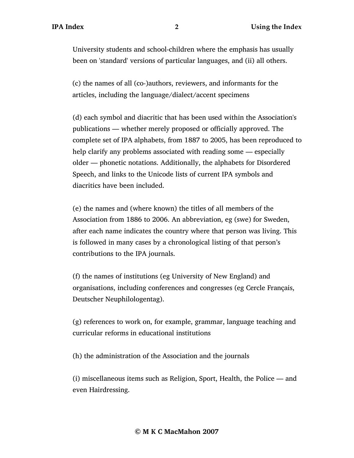University students and school-children where the emphasis has usually been on 'standard' versions of particular languages, and (ii) all others.

(c) the names of all (co-)authors, reviewers, and informants for the articles, including the language/dialect/accent specimens

(d) each symbol and diacritic that has been used within the Association's publications — whether merely proposed or officially approved. The complete set of IPA alphabets, from 1887 to 2005, has been reproduced to help clarify any problems associated with reading some — especially older — phonetic notations. Additionally, the alphabets for Disordered Speech, and links to the Unicode lists of current IPA symbols and diacritics have been included.

(e) the names and (where known) the titles of all members of the Association from 1886 to 2006. An abbreviation, eg (swe) for Sweden, after each name indicates the country where that person was living. This is followed in many cases by a chronological listing of that person's contributions to the IPA journals.

(f) the names of institutions (eg University of New England) and organisations, including conferences and congresses (eg Cercle Français, Deutscher Neuphilologentag).

(g) references to work on, for example, grammar, language teaching and curricular reforms in educational institutions

(h) the administration of the Association and the journals

(i) miscellaneous items such as Religion, Sport, Health, the Police — and even Hairdressing.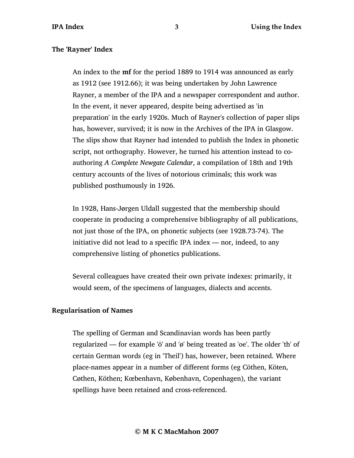## **The 'Rayner' Index**

An index to the **mf** for the period 1889 to 1914 was announced as early as 1912 (see 1912.66); it was being undertaken by John Lawrence Rayner, a member of the IPA and a newspaper correspondent and author. In the event, it never appeared, despite being advertised as 'in preparation' in the early 1920s. Much of Rayner's collection of paper slips has, however, survived; it is now in the Archives of the IPA in Glasgow. The slips show that Rayner had intended to publish the Index in phonetic script, not orthography. However, he turned his attention instead to coauthoring *A Complete Newgate Calendar*, a compilation of 18th and 19th century accounts of the lives of notorious criminals; this work was published posthumously in 1926.

In 1928, Hans-Jørgen Uldall suggested that the membership should cooperate in producing a comprehensive bibliography of all publications, not just those of the IPA, on phonetic subjects (see 1928.73-74). The initiative did not lead to a specific IPA index — nor, indeed, to any comprehensive listing of phonetics publications.

Several colleagues have created their own private indexes: primarily, it would seem, of the specimens of languages, dialects and accents.

## **Regularisation of Names**

The spelling of German and Scandinavian words has been partly regularized — for example 'ö' and 'ø' being treated as 'oe'. The older 'th' of certain German words (eg in 'Theil') has, however, been retained. Where place-names appear in a number of different forms (eg Cöthen, Köten, Cøthen, Köthen; Kœbenhavn, København, Copenhagen), the variant spellings have been retained and cross-referenced.